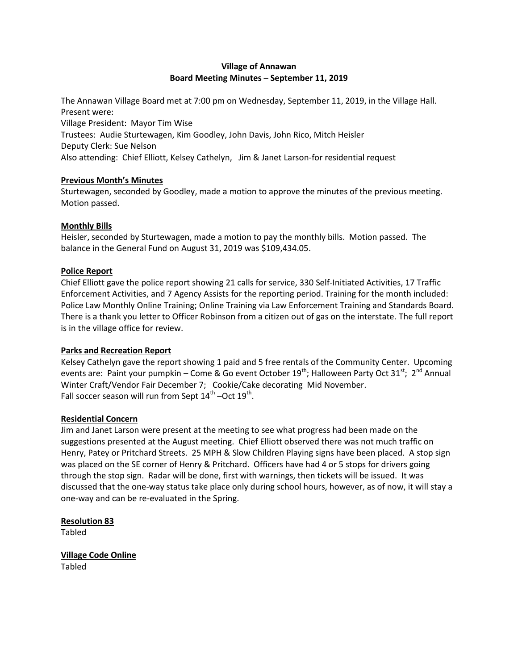# **Village of Annawan Board Meeting Minutes – September 11, 2019**

The Annawan Village Board met at 7:00 pm on Wednesday, September 11, 2019, in the Village Hall. Present were:

Village President: Mayor Tim Wise

Trustees: Audie Sturtewagen, Kim Goodley, John Davis, John Rico, Mitch Heisler Deputy Clerk: Sue Nelson

Also attending: Chief Elliott, Kelsey Cathelyn, Jim & Janet Larson-for residential request

## **Previous Month's Minutes**

Sturtewagen, seconded by Goodley, made a motion to approve the minutes of the previous meeting. Motion passed.

# **Monthly Bills**

Heisler, seconded by Sturtewagen, made a motion to pay the monthly bills. Motion passed. The balance in the General Fund on August 31, 2019 was \$109,434.05.

## **Police Report**

Chief Elliott gave the police report showing 21 calls for service, 330 Self-Initiated Activities, 17 Traffic Enforcement Activities, and 7 Agency Assists for the reporting period. Training for the month included: Police Law Monthly Online Training; Online Training via Law Enforcement Training and Standards Board. There is a thank you letter to Officer Robinson from a citizen out of gas on the interstate. The full report is in the village office for review.

## **Parks and Recreation Report**

Kelsey Cathelyn gave the report showing 1 paid and 5 free rentals of the Community Center. Upcoming events are: Paint your pumpkin – Come & Go event October 19<sup>th</sup>; Halloween Party Oct 31<sup>st</sup>; 2<sup>nd</sup> Annual Winter Craft/Vendor Fair December 7; Cookie/Cake decorating Mid November. Fall soccer season will run from Sept  $14^{\text{th}}$  –Oct  $19^{\text{th}}$ .

## **Residential Concern**

Jim and Janet Larson were present at the meeting to see what progress had been made on the suggestions presented at the August meeting. Chief Elliott observed there was not much traffic on Henry, Patey or Pritchard Streets. 25 MPH & Slow Children Playing signs have been placed. A stop sign was placed on the SE corner of Henry & Pritchard. Officers have had 4 or 5 stops for drivers going through the stop sign. Radar will be done, first with warnings, then tickets will be issued. It was discussed that the one-way status take place only during school hours, however, as of now, it will stay a one-way and can be re-evaluated in the Spring.

**Resolution 83** Tabled

**Village Code Online** Tabled